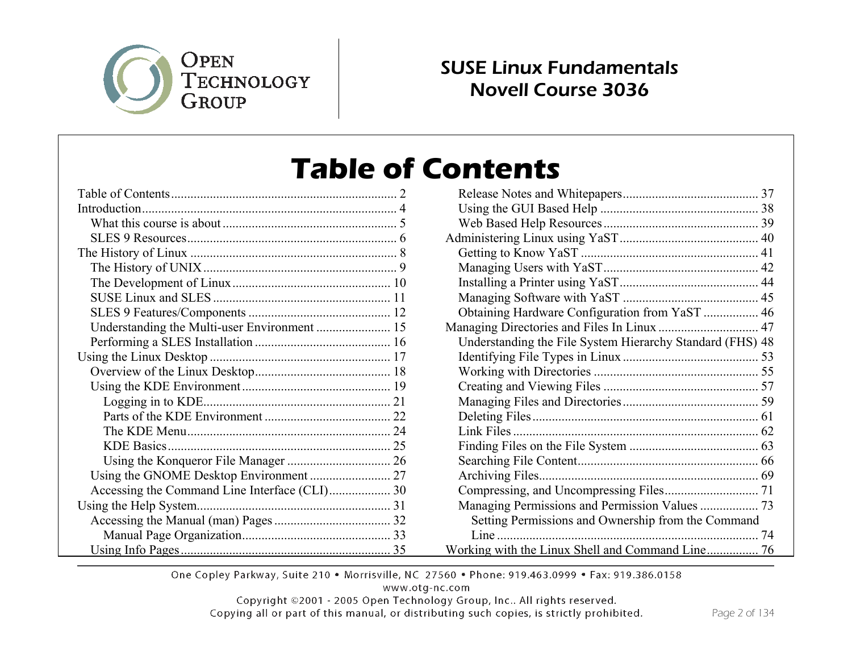

## SUSE Linux Fundamentals Novell Course 3036

## **Table of Contents**

| Understanding the Multi-user Environment  15 |  |
|----------------------------------------------|--|
|                                              |  |
|                                              |  |
|                                              |  |
|                                              |  |
|                                              |  |
|                                              |  |
|                                              |  |
|                                              |  |
|                                              |  |
|                                              |  |
|                                              |  |
|                                              |  |
|                                              |  |
|                                              |  |
|                                              |  |

| Obtaining Hardware Configuration from YaST  46            |
|-----------------------------------------------------------|
|                                                           |
| Understanding the File System Hierarchy Standard (FHS) 48 |
|                                                           |
|                                                           |
|                                                           |
|                                                           |
|                                                           |
|                                                           |
|                                                           |
|                                                           |
|                                                           |
|                                                           |
| Managing Permissions and Permission Values  73            |
| Setting Permissions and Ownership from the Command        |
| $Line$                                                    |
|                                                           |

One Copley Parkway, Suite 210 . Morrisville, NC 27560 . Phone: 919.463.0999 . Fax: 919.386.0158

www.otg-nc.com

Copyright ©2001 - 2005 Open Technology Group, Inc.. All rights reserved.

Copying all or part of this manual, or distributing such copies, is strictly prohibited.